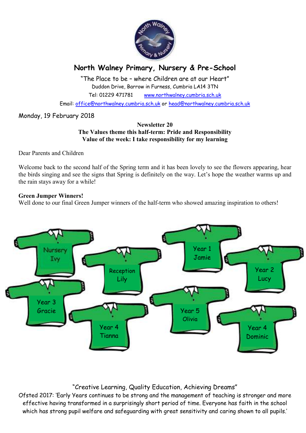

# **North Walney Primary, Nursery & Pre-School**

"The Place to be – where Children are at our Heart" Duddon Drive, Barrow in Furness, Cumbria LA14 3TN Tel: 01229 471781 www.northwalney.cumbria.sch.uk

Email: office@northwalney.cumbria.sch.uk or head@northwalney.cumbria.sch.uk

# Monday, 19 February 2018

#### **Newsletter 20 The Values theme this half-term: Pride and Responsibility Value of the week: I take responsibility for my learning**

Dear Parents and Children

Welcome back to the second half of the Spring term and it has been lovely to see the flowers appearing, hear the birds singing and see the signs that Spring is definitely on the way. Let's hope the weather warms up and the rain stays away for a while!

# **Green Jumper Winners!**

Well done to our final Green Jumper winners of the half-term who showed amazing inspiration to others!



# "Creative Learning, Quality Education, Achieving Dreams"

Ofsted 2017: 'Early Years continues to be strong and the management of teaching is stronger and more effective having transformed in a surprisingly short period of time. Everyone has faith in the school which has strong pupil welfare and safeguarding with great sensitivity and caring shown to all pupils.'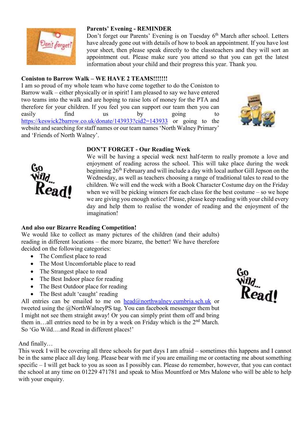

# **Parents' Evening - REMINDER**

Don't forget our Parents' Evening is on Tuesday 6<sup>th</sup> March after school. Letters have already gone out with details of how to book an appointment. If you have lost your sheet, then please speak directly to the classteachers and they will sort an appointment out. Please make sure you attend so that you can get the latest information about your child and their progress this year. Thank you.

# **Coniston to Barrow Walk – WE HAVE 2 TEAMS!!!!!!!**

I am so proud of my whole team who have come together to do the Coniston to Barrow walk – either physically or in spirit! I am pleased to say we have entered two teams into the walk and are hoping to raise lots of money for the PTA and therefore for your children. If you feel you can support our team then you can easily find us by going to https://keswick2barrow.co.uk/donate/143933?cid2=143933 or going to the website and searching for staff names or our team names 'North Walney Primary' and 'Friends of North Walney'.



#### **DON'T FORGET - Our Reading Week**



# **And also our Bizarre Reading Competition!**

We would like to collect as many pictures of the children (and their adults) reading in different locations – the more bizarre, the better! We have therefore decided on the following categories:

• The Comfiest place to read

Read!

- The Most Uncomfortable place to read
- The Strangest place to read
- The Best Indoor place for reading
- The Best Outdoor place for reading
- The Best adult 'caught' reading

All entries can be emailed to me on  $head@northwalney.cumbria.sch.uk$  or tweeted using the @NorthWalneyPS tag. You can facebook messenger them but I might not see them straight away! Or you can simply print them off and bring them in...all entries need to be in by a week on Friday which is the 2<sup>nd</sup> March. So 'Go Wild….and Read in different places!'

And finally…

This week I will be covering all three schools for part days I am afraid – sometimes this happens and I cannot be in the same place all day long. Please bear with me if you are emailing me or contacting me about something specific – I will get back to you as soon as I possibly can. Please do remember, however, that you can contact the school at any time on 01229 471781 and speak to Miss Mountford or Mrs Malone who will be able to help with your enquiry.